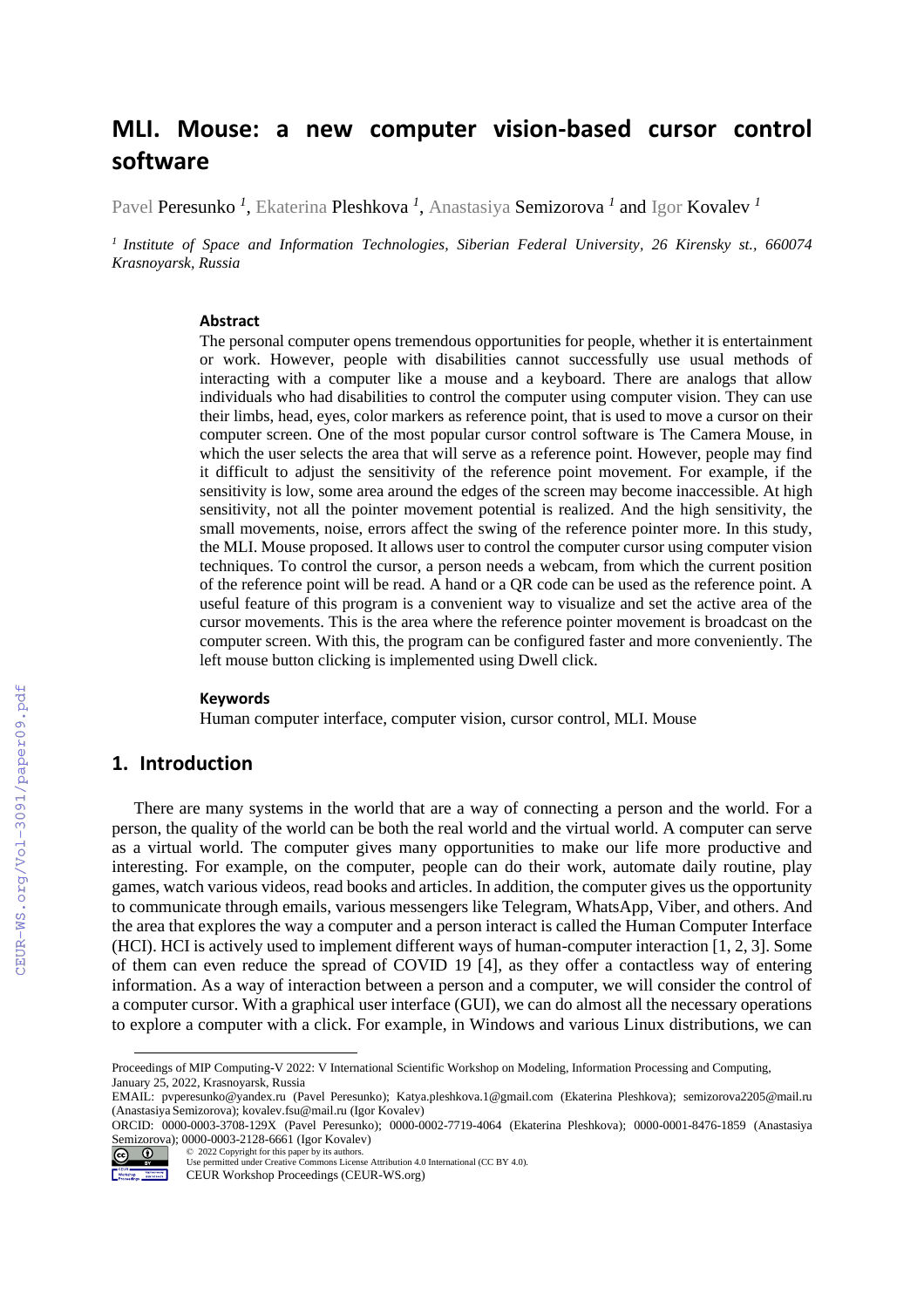# **MLI. Mouse: a new computer vision-based cursor control software**

Pavel Peresunko *<sup>1</sup>* , Ekaterina Pleshkova *<sup>1</sup>* , Anastasiya Semizorova *<sup>1</sup>* and Igor Kovalev *<sup>1</sup>*

*<sup>1</sup>Institute of Space and Information Technologies, Siberian Federal University, 26 Kirensky st., 660074 Krasnoyarsk, Russia*

#### **Abstract**

The personal computer opens tremendous opportunities for people, whether it is entertainment or work. However, people with disabilities cannot successfully use usual methods of interacting with a computer like a mouse and a keyboard. There are analogs that allow individuals who had disabilities to control the computer using computer vision. They can use their limbs, head, eyes, color markers as reference point, that is used to move a cursor on their computer screen. One of the most popular cursor control software is The Camera Mouse, in which the user selects the area that will serve as a reference point. However, people may find it difficult to adjust the sensitivity of the reference point movement. For example, if the sensitivity is low, some area around the edges of the screen may become inaccessible. At high sensitivity, not all the pointer movement potential is realized. And the high sensitivity, the small movements, noise, errors affect the swing of the reference pointer more. In this study, the MLI. Mouse proposed. It allows user to control the computer cursor using computer vision techniques. To control the cursor, a person needs a webcam, from which the current position of the reference point will be read. A hand or a QR code can be used as the reference point. A useful feature of this program is a convenient way to visualize and set the active area of the cursor movements. This is the area where the reference pointer movement is broadcast on the computer screen. With this, the program can be configured faster and more conveniently. The left mouse button clicking is implemented using Dwell click.

### **Keywords 1**

Human computer interface, computer vision, cursor control, MLI. Mouse

## **1. Introduction**

There are many systems in the world that are a way of connecting a person and the world. For a person, the quality of the world can be both the real world and the virtual world. A computer can serve as a virtual world. The computer gives many opportunities to make our life more productive and interesting. For example, on the computer, people can do their work, automate daily routine, play games, watch various videos, read books and articles. In addition, the computer gives us the opportunity to communicate through emails, various messengers like Telegram, WhatsApp, Viber, and others. And the area that explores the way a computer and a person interact is called the Human Computer Interface (HCI). HCI is actively used to implement different ways of human-computer interaction [1, 2, 3]. Some of them can even reduce the spread of COVID 19 [4], as they offer a contactless way of entering information. As a way of interaction between a person and a computer, we will consider the control of a computer cursor. With a graphical user interface (GUI), we can do almost all the necessary operations to explore a computer with a click. For example, in Windows and various Linux distributions, we can

©️ 2022 Copyright for this paper by its authors.

Proceedings of MIP Computing-V 2022: V International Scientific Workshop on Modeling, Information Processing and Computing, January 25, 2022, Krasnoyarsk, Russia

EMAIL: pvperesunko@yandex.ru (Pavel Peresunko); Katya.pleshkova.1@gmail.com (Ekaterina Pleshkova); semizorova2205@mail.ru (Anastasiya Semizorova); kovalev.fsu@mail.ru (Igor Kovalev)

ORCID: 0000-0003-3708-129X (Pavel Peresunko); 0000-0002-7719-4064 (Ekaterina Pleshkova); 0000-0001-8476-1859 (Anastasiya Semizorova); 0000-0003-2128-6661 (Igor Kovalev)<br>  $\bigodot \bigodot$   $\bigodot$  2022 Copyright for this paper by its authors.

Use permitted under Creative Commons License Attribution 4.0 International (CC BY 4.0).

Workshop Montenano<br>Proceedings has resem-CEUR Workshop Proceedings (CEUR-WS.org)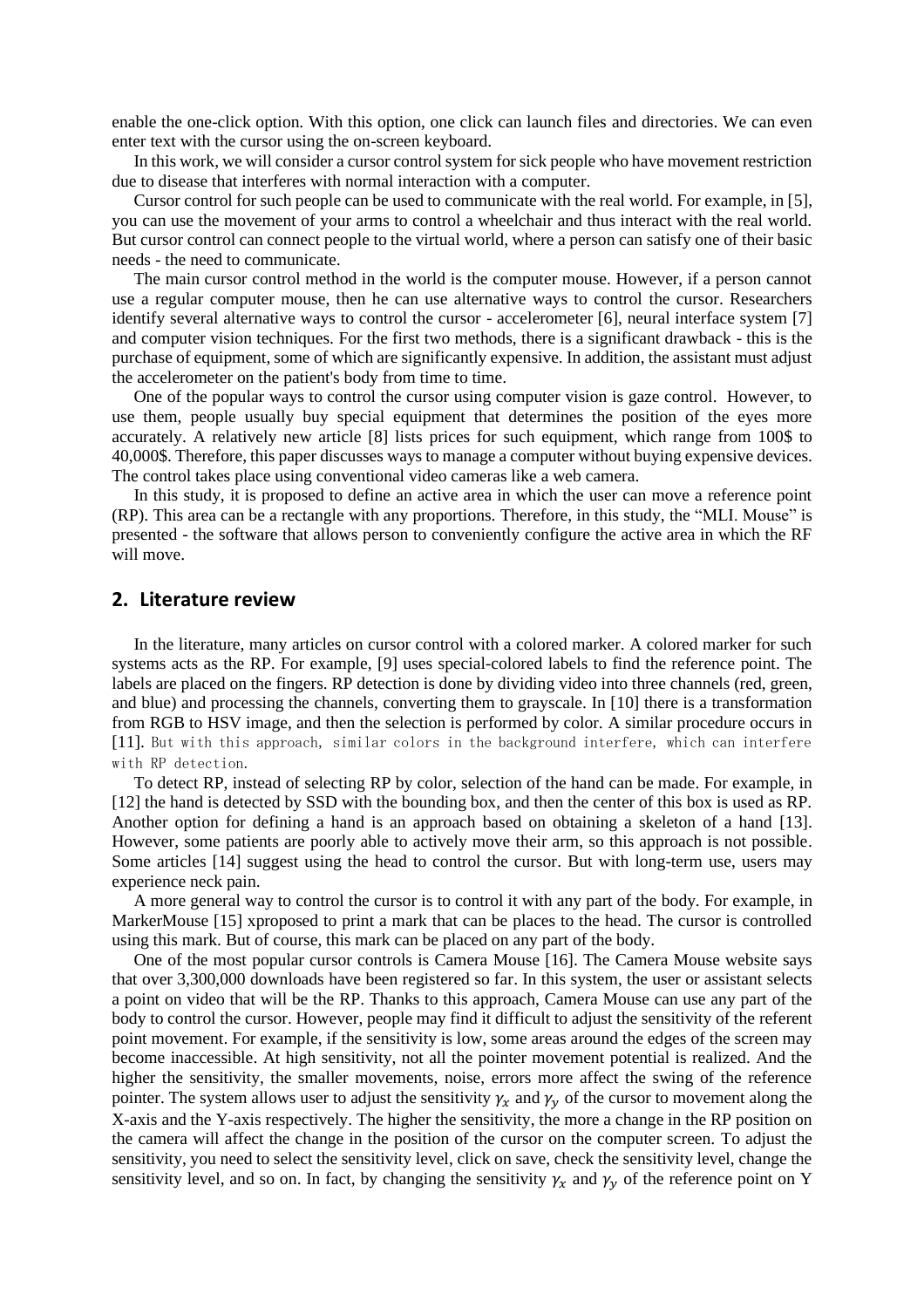enable the one-click option. With this option, one click can launch files and directories. We can even enter text with the cursor using the on-screen keyboard.

In this work, we will consider a cursor control system for sick people who have movement restriction due to disease that interferes with normal interaction with a computer.

Cursor control for such people can be used to communicate with the real world. For example, in [5], you can use the movement of your arms to control a wheelchair and thus interact with the real world. But cursor control can connect people to the virtual world, where a person can satisfy one of their basic needs - the need to communicate.

The main cursor control method in the world is the computer mouse. However, if a person cannot use a regular computer mouse, then he can use alternative ways to control the cursor. Researchers identify several alternative ways to control the cursor - accelerometer [6], neural interface system [7] and computer vision techniques. For the first two methods, there is a significant drawback - this is the purchase of equipment, some of which are significantly expensive. In addition, the assistant must adjust the accelerometer on the patient's body from time to time.

One of the popular ways to control the cursor using computer vision is gaze control. However, to use them, people usually buy special equipment that determines the position of the eyes more accurately. A relatively new article [8] lists prices for such equipment, which range from 100\$ to 40,000\$. Therefore, this paper discusses ways to manage a computer without buying expensive devices. The control takes place using conventional video cameras like a web camera.

In this study, it is proposed to define an active area in which the user can move a reference point (RP). This area can be a rectangle with any proportions. Therefore, in this study, the "MLI. Mouse" is presented - the software that allows person to conveniently configure the active area in which the RF will move.

### **2. Literature review**

In the literature, many articles on cursor control with a colored marker. A colored marker for such systems acts as the RP. For example, [9] uses special-colored labels to find the reference point. The labels are placed on the fingers. RP detection is done by dividing video into three channels (red, green, and blue) and processing the channels, converting them to grayscale. In [10] there is a transformation from RGB to HSV image, and then the selection is performed by color. A similar procedure occurs in [11]. But with this approach, similar colors in the background interfere, which can interfere with RP detection.

To detect RP, instead of selecting RP by color, selection of the hand can be made. For example, in [12] the hand is detected by SSD with the bounding box, and then the center of this box is used as RP. Another option for defining a hand is an approach based on obtaining a skeleton of a hand [13]. However, some patients are poorly able to actively move their arm, so this approach is not possible. Some articles [14] suggest using the head to control the cursor. But with long-term use, users may experience neck pain.

A more general way to control the cursor is to control it with any part of the body. For example, in MarkerMouse [15] xproposed to print a mark that can be places to the head. The cursor is controlled using this mark. But of course, this mark can be placed on any part of the body.

One of the most popular cursor controls is Camera Mouse [16]. The Camera Mouse website says that over 3,300,000 downloads have been registered so far. In this system, the user or assistant selects a point on video that will be the RP. Thanks to this approach, Camera Mouse can use any part of the body to control the cursor. However, people may find it difficult to adjust the sensitivity of the referent point movement. For example, if the sensitivity is low, some areas around the edges of the screen may become inaccessible. At high sensitivity, not all the pointer movement potential is realized. And the higher the sensitivity, the smaller movements, noise, errors more affect the swing of the reference pointer. The system allows user to adjust the sensitivity  $\gamma_x$  and  $\gamma_y$  of the cursor to movement along the X-axis and the Y-axis respectively. The higher the sensitivity, the more a change in the RP position on the camera will affect the change in the position of the cursor on the computer screen. To adjust the sensitivity, you need to select the sensitivity level, click on save, check the sensitivity level, change the sensitivity level, and so on. In fact, by changing the sensitivity  $\gamma_x$  and  $\gamma_y$  of the reference point on Y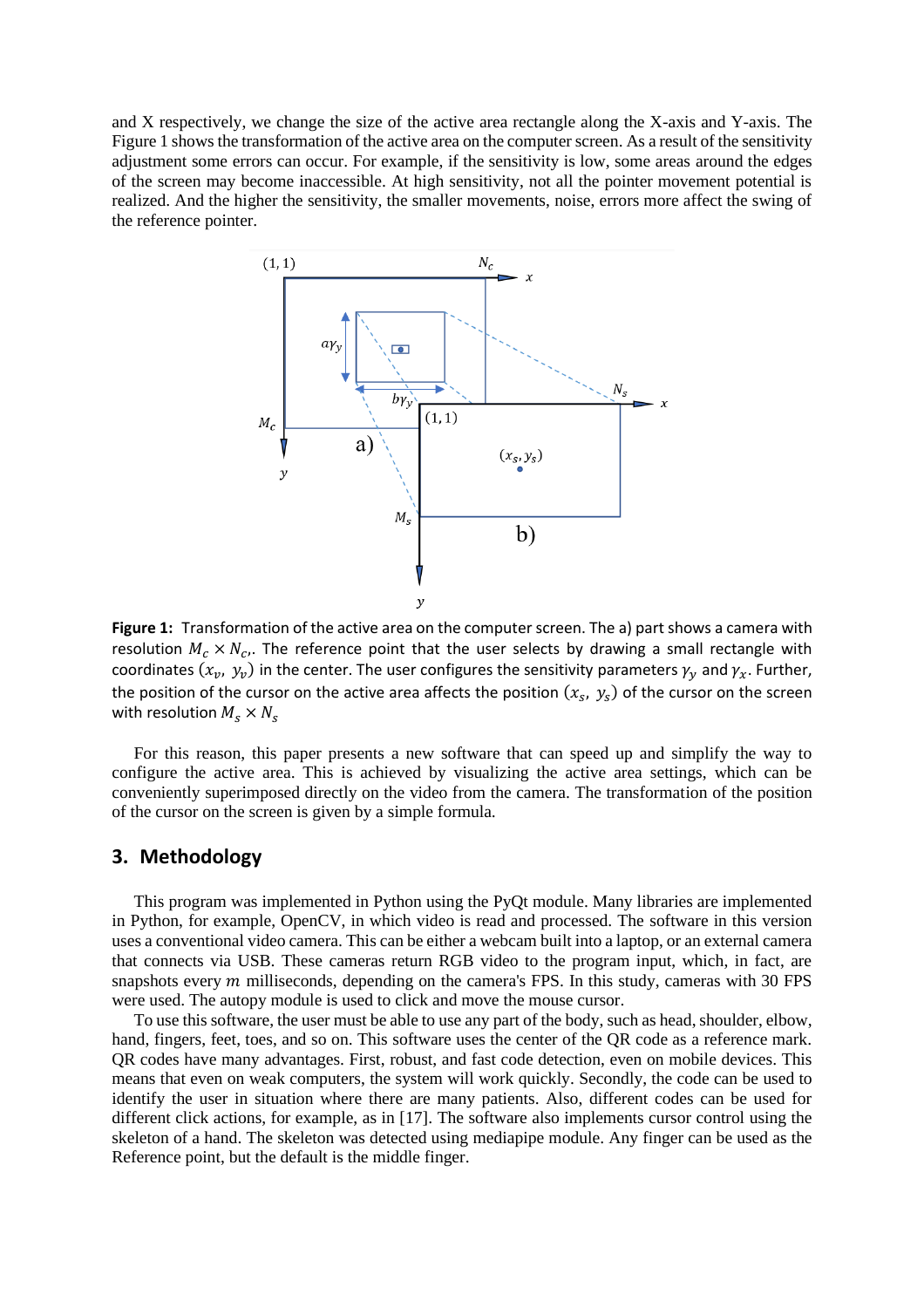and X respectively, we change the size of the active area rectangle along the X-axis and Y-axis. The Figure 1 shows the transformation of the active area on the computer screen. As a result of the sensitivity adjustment some errors can occur. For example, if the sensitivity is low, some areas around the edges of the screen may become inaccessible. At high sensitivity, not all the pointer movement potential is realized. And the higher the sensitivity, the smaller movements, noise, errors more affect the swing of the reference pointer.



**Figure 1:** Transformation of the active area on the computer screen. The a) part shows a camera with resolution  $M_c \times N_c$ . The reference point that the user selects by drawing a small rectangle with coordinates  $(x_v, y_v)$  in the center. The user configures the sensitivity parameters  $\gamma_y$  and  $\gamma_x$ . Further, the position of the cursor on the active area affects the position  $(x_s,\,y_s)$  of the cursor on the screen with resolution  $M_s \times N_s$ 

For this reason, this paper presents a new software that can speed up and simplify the way to configure the active area. This is achieved by visualizing the active area settings, which can be conveniently superimposed directly on the video from the camera. The transformation of the position of the cursor on the screen is given by a simple formula.

## **3. Methodology**

This program was implemented in Python using the PyQt module. Many libraries are implemented in Python, for example, OpenCV, in which video is read and processed. The software in this version uses a conventional video camera. This can be either a webcam built into a laptop, or an external camera that connects via USB. These cameras return RGB video to the program input, which, in fact, are snapshots every  $m$  milliseconds, depending on the camera's FPS. In this study, cameras with 30 FPS were used. The autopy module is used to click and move the mouse cursor.

To use this software, the user must be able to use any part of the body, such as head, shoulder, elbow, hand, fingers, feet, toes, and so on. This software uses the center of the QR code as a reference mark. QR codes have many advantages. First, robust, and fast code detection, even on mobile devices. This means that even on weak computers, the system will work quickly. Secondly, the code can be used to identify the user in situation where there are many patients. Also, different codes can be used for different click actions, for example, as in [17]. The software also implements cursor control using the skeleton of a hand. The skeleton was detected using mediapipe module. Any finger can be used as the Reference point, but the default is the middle finger.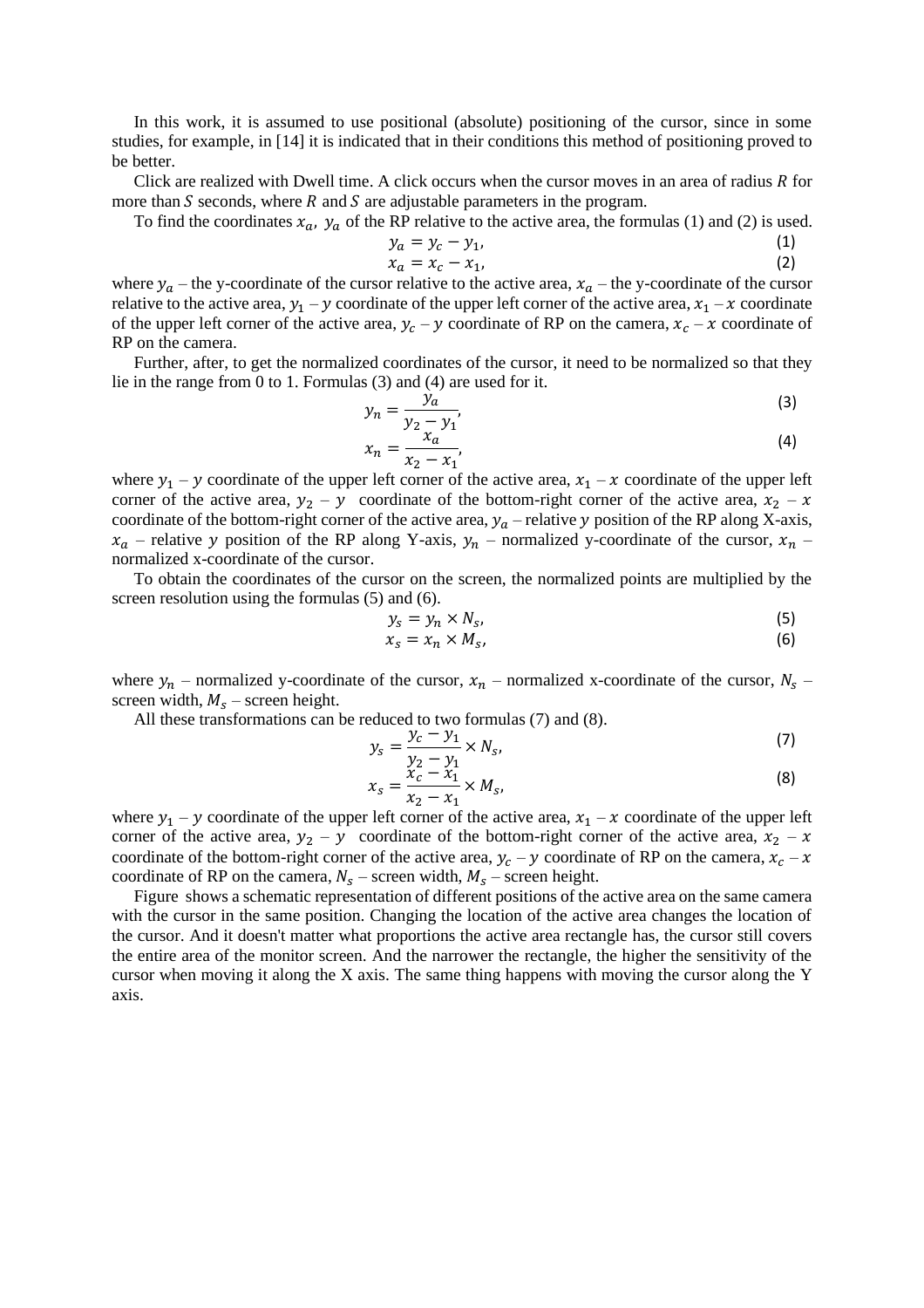In this work, it is assumed to use positional (absolute) positioning of the cursor, since in some studies, for example, in [14] it is indicated that in their conditions this method of positioning proved to be better.

Click are realized with Dwell time. A click occurs when the cursor moves in an area of radius  $R$  for more than  $S$  seconds, where  $R$  and  $S$  are adjustable parameters in the program.

To find the coordinates  $x_a$ ,  $y_a$  of the RP relative to the active area, the formulas (1) and (2) is used.

$$
y_a = y_c - y_1,
$$
  
\n
$$
x_a = x_c - x_1,
$$
\n(1)  
\n(2)

where  $y_a$  – the y-coordinate of the cursor relative to the active area,  $x_a$  – the y-coordinate of the cursor relative to the active area,  $y_1 - y$  coordinate of the upper left corner of the active area,  $x_1 - x$  coordinate of the upper left corner of the active area,  $y_c - y$  coordinate of RP on the camera,  $x_c - x$  coordinate of RP on the camera.

Further, after, to get the normalized coordinates of the cursor, it need to be normalized so that they lie in the range from 0 to 1. Formulas (3) and (4) are used for it.

$$
y_n = \frac{y_n}{y_2 - y_1},
$$
 (3)

$$
x_n = \frac{z_{\alpha}}{x_2 - x_1},
$$
 (4)

where  $y_1 - y$  coordinate of the upper left corner of the active area,  $x_1 - x$  coordinate of the upper left corner of the active area,  $y_2 - y$  coordinate of the bottom-right corner of the active area,  $x_2 - x$ coordinate of the bottom-right corner of the active area,  $y_a$  – relative y position of the RP along X-axis,  $x_a$  – relative y position of the RP along Y-axis,  $y_n$  – normalized y-coordinate of the cursor,  $x_n$  – normalized x-coordinate of the cursor.

To obtain the coordinates of the cursor on the screen, the normalized points are multiplied by the screen resolution using the formulas (5) and (6).

$$
y_s = y_n \times N_s,\tag{5}
$$

$$
x_s = x_n \times M_s, \tag{6}
$$

where  $y_n$  – normalized y-coordinate of the cursor,  $x_n$  – normalized x-coordinate of the cursor,  $N_s$  – screen width,  $M_s$  – screen height.

All these transformations can be reduced to two formulas (7) and (8).

$$
y_s = \frac{y_c - y_1}{y_2 - y_1} \times N_s,
$$
 (7)

$$
x_{S} = \frac{\tilde{x}_{C} - \tilde{x}_{1}}{x_{2} - x_{1}} \times M_{S},
$$
\n(8)

where  $y_1 - y$  coordinate of the upper left corner of the active area,  $x_1 - x$  coordinate of the upper left corner of the active area,  $y_2 - y$  coordinate of the bottom-right corner of the active area,  $x_2 - x$ coordinate of the bottom-right corner of the active area,  $y_c - y$  coordinate of RP on the camera,  $x_c - x$ coordinate of RP on the camera,  $N_s$  – screen width,  $M_s$  – screen height.

[Figure](#page-4-0) shows a schematic representation of different positions of the active area on the same camera with the cursor in the same position. Changing the location of the active area changes the location of the cursor. And it doesn't matter what proportions the active area rectangle has, the cursor still covers the entire area of the monitor screen. And the narrower the rectangle, the higher the sensitivity of the cursor when moving it along the X axis. The same thing happens with moving the cursor along the Y axis.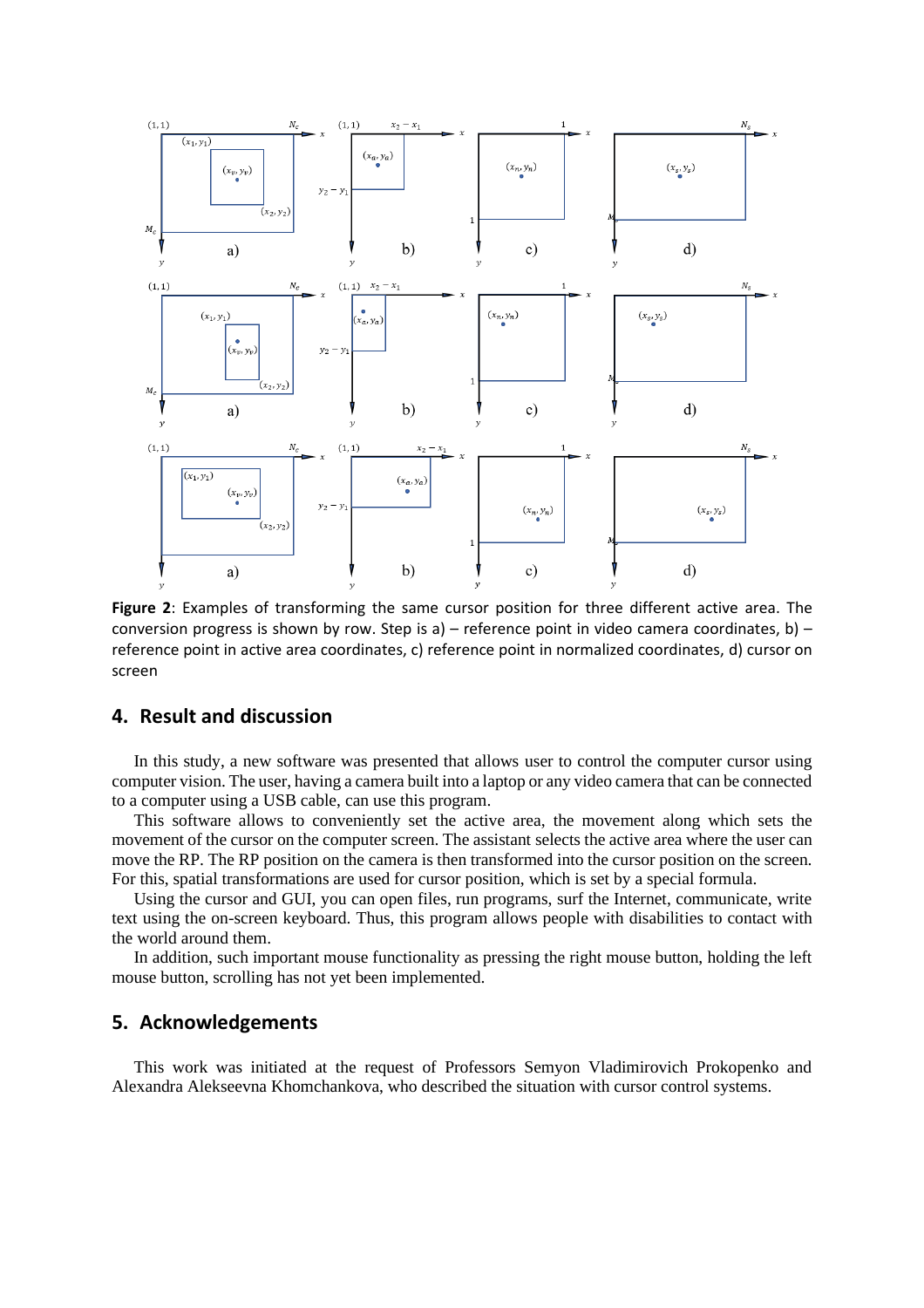

<span id="page-4-0"></span>**Figure 2**: Examples of transforming the same cursor position for three different active area. The conversion progress is shown by row. Step is a) – reference point in video camera coordinates, b) – reference point in active area coordinates, c) reference point in normalized coordinates, d) cursor on screen

## **4. Result and discussion**

In this study, a new software was presented that allows user to control the computer cursor using computer vision. The user, having a camera built into a laptop or any video camera that can be connected to a computer using a USB cable, can use this program.

This software allows to conveniently set the active area, the movement along which sets the movement of the cursor on the computer screen. The assistant selects the active area where the user can move the RP. The RP position on the camera is then transformed into the cursor position on the screen. For this, spatial transformations are used for cursor position, which is set by a special formula.

Using the cursor and GUI, you can open files, run programs, surf the Internet, communicate, write text using the on-screen keyboard. Thus, this program allows people with disabilities to contact with the world around them.

In addition, such important mouse functionality as pressing the right mouse button, holding the left mouse button, scrolling has not yet been implemented.

## **5. Acknowledgements**

This work was initiated at the request of Professors Semyon Vladimirovich Prokopenko and Alexandra Alekseevna Khomchankova, who described the situation with cursor control systems.